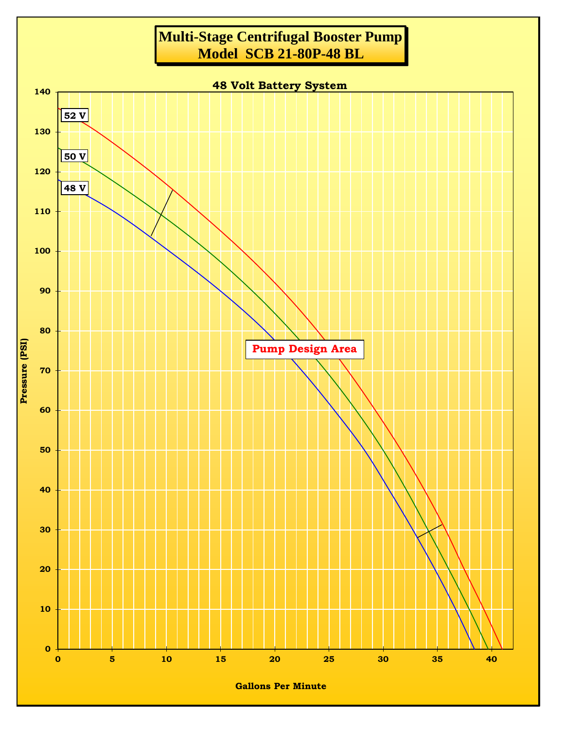